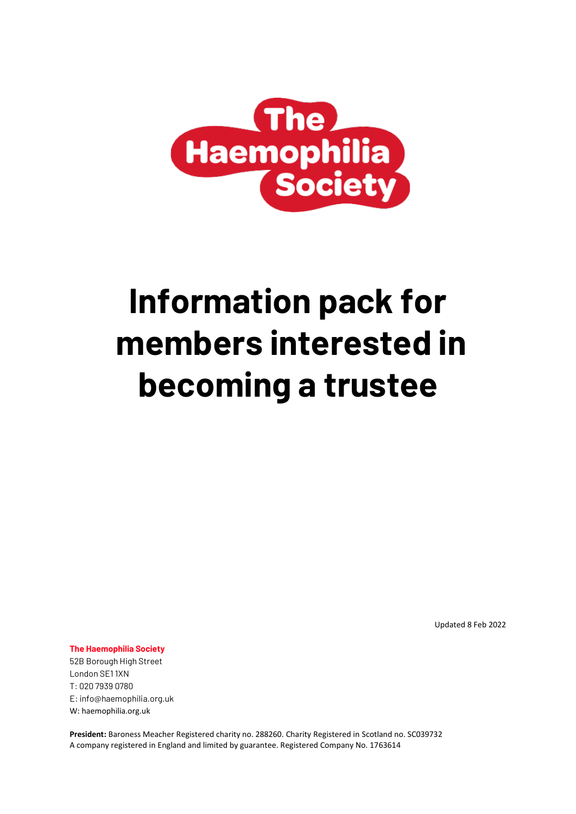

# **Information pack for members interested in becoming a trustee**

Updated 8 Feb 2022

**The Haemophilia Society**

52B Borough High Street London SE1 1XN T: 020 7939 0780 E: info@haemophilia.org.uk W: haemophilia.org.uk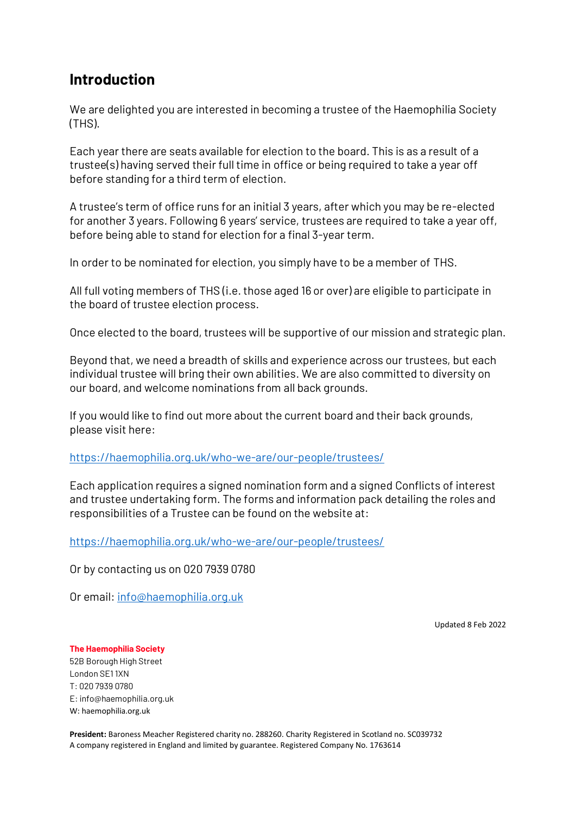# **Introduction**

We are delighted you are interested in becoming a trustee of the Haemophilia Society (THS).

Each year there are seats available for election to the board. This is as a result of a trustee(s) having served their full time in office or being required to take a year off before standing for a third term of election.

A trustee's term of office runs for an initial 3 years, after which you may be re-elected for another 3 years. Following 6 years' service, trustees are required to take a year off, before being able to stand for election for a final 3-year term.

In order to be nominated for election, you simply have to be a member of THS.

All full voting members of THS (i.e. those aged 16 or over) are eligible to participate in the board of trustee election process.

Once elected to the board, trustees will be supportive of our mission and strategic plan.

Beyond that, we need a breadth of skills and experience across our trustees, but each individual trustee will bring their own abilities. We are also committed to diversity on our board, and welcome nominations from all back grounds.

If you would like to find out more about the current board and their back grounds, please visit here:

<https://haemophilia.org.uk/who-we-are/our-people/trustees/>

Each application requires a signed nomination form and a signed Conflicts of interest and trustee undertaking form. The forms and information pack detailing the roles and responsibilities of a Trustee can be found on the website at:

<https://haemophilia.org.uk/who-we-are/our-people/trustees/>

Or by contacting us on 020 7939 0780

Or email: [info@haemophilia.org.uk](mailto:info@haemophilia.org.uk)

Updated 8 Feb 2022

#### **The Haemophilia Society**

52B Borough High Street London SE1 1XN T: 020 7939 0780 E: info@haemophilia.org.uk W: haemophilia.org.uk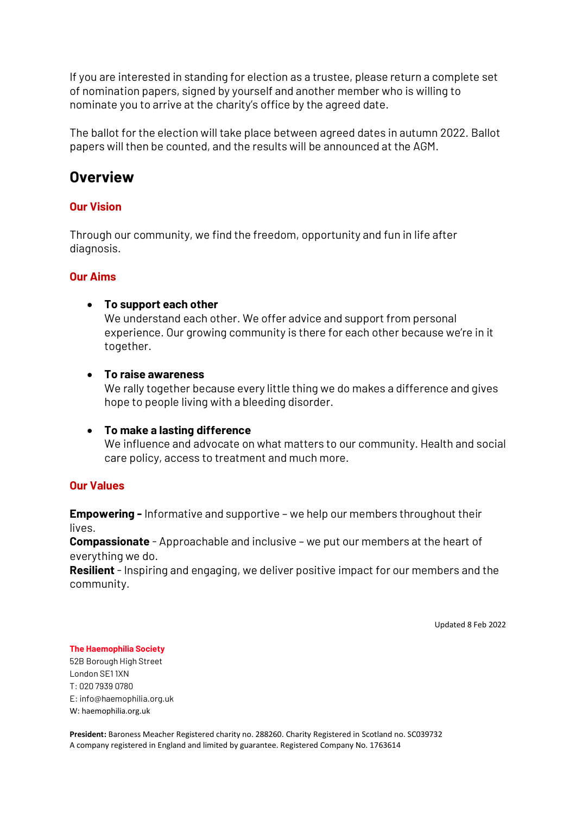If you are interested in standing for election as a trustee, please return a complete set of nomination papers, signed by yourself and another member who is willing to nominate you to arrive at the charity's office by the agreed date.

The ballot for the election will take place between agreed dates in autumn 2022. Ballot papers will then be counted, and the results will be announced at the AGM.

## **Overview**

## **Our Vision**

Through our community, we find the freedom, opportunity and fun in life after diagnosis.

## **Our Aims**

## • **To support each other**

We understand each other. We offer advice and support from personal experience. Our growing community is there for each other because we're in it together.

## • **To raise awareness**

We rally together because every little thing we do makes a difference and gives hope to people living with a bleeding disorder.

## • **To make a lasting difference**

We influence and advocate on what matters to our community. Health and social care policy, access to treatment and much more.

## **Our Values**

**Empowering -** Informative and supportive – we help our members throughout their lives.

**Compassionate** - Approachable and inclusive – we put our members at the heart of everything we do.

**Resilient** - Inspiring and engaging, we deliver positive impact for our members and the community.

Updated 8 Feb 2022

#### **The Haemophilia Society**

52B Borough High Street London SE1 1XN T: 020 7939 0780 E: info@haemophilia.org.uk W: haemophilia.org.uk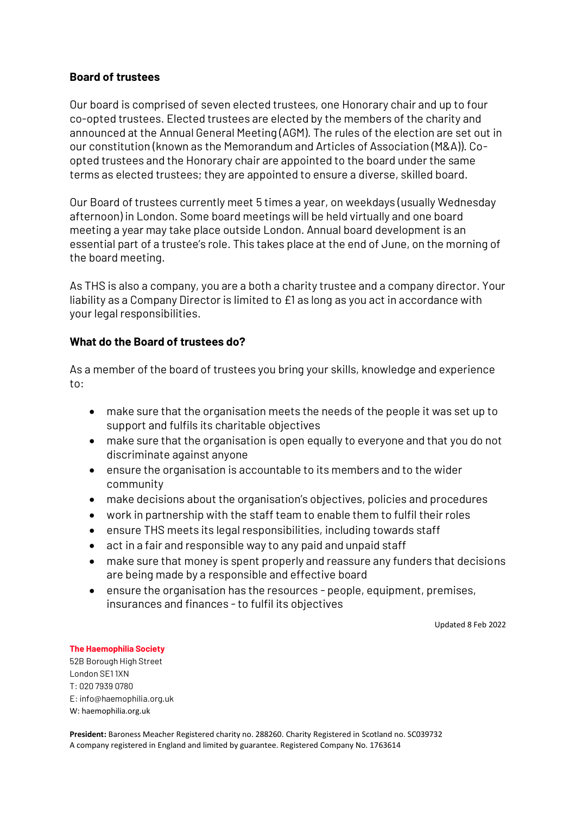## **Board of trustees**

Our board is comprised of seven elected trustees, one Honorary chair and up to four co-opted trustees. Elected trustees are elected by the members of the charity and announced at the Annual General Meeting (AGM). The rules of the election are set out in our constitution (known as the Memorandum and Articles of Association (M&A)). Coopted trustees and the Honorary chair are appointed to the board under the same terms as elected trustees; they are appointed to ensure a diverse, skilled board.

Our Board of trustees currently meet 5 times a year, on weekdays (usually Wednesday afternoon) in London. Some board meetings will be held virtually and one board meeting a year may take place outside London. Annual board development is an essential part of a trustee's role. This takes place at the end of June, on the morning of the board meeting.

As THS is also a company, you are a both a charity trustee and a company director. Your liability as a Company Director is limited to £1 as long as you act in accordance with your legal responsibilities.

## **What do the Board of trustees do?**

As a member of the board of trustees you bring your skills, knowledge and experience to:

- make sure that the organisation meets the needs of the people it was set up to support and fulfils its charitable objectives
- make sure that the organisation is open equally to everyone and that you do not discriminate against anyone
- ensure the organisation is accountable to its members and to the wider community
- make decisions about the organisation's objectives, policies and procedures
- work in partnership with the staff team to enable them to fulfil their roles
- ensure THS meets its legal responsibilities, including towards staff
- act in a fair and responsible way to any paid and unpaid staff
- make sure that money is spent properly and reassure any funders that decisions are being made by a responsible and effective board
- ensure the organisation has the resources people, equipment, premises, insurances and finances -to fulfil its objectives

Updated 8 Feb 2022

#### **The Haemophilia Society**

52B Borough High Street London SE1 1XN T: 020 7939 0780 E: info@haemophilia.org.uk W: haemophilia.org.uk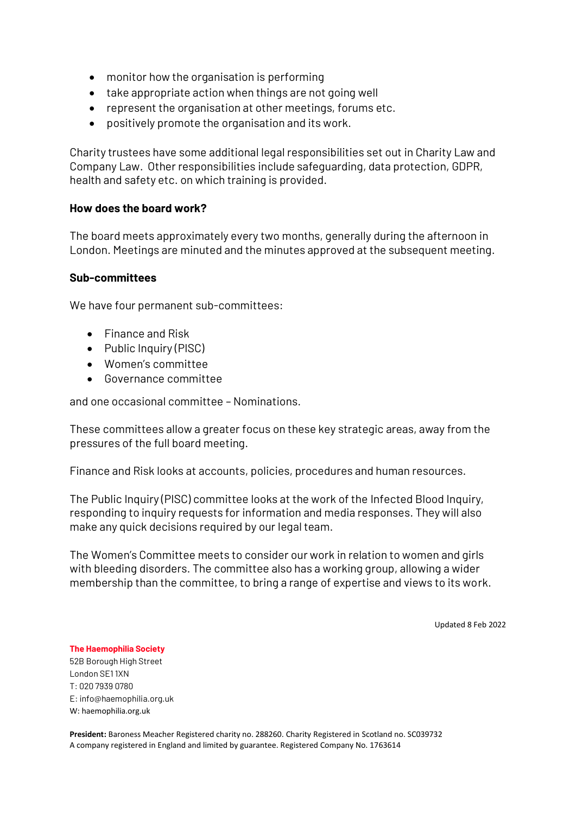- monitor how the organisation is performing
- take appropriate action when things are not going well
- represent the organisation at other meetings, forums etc.
- positively promote the organisation and its work.

Charity trustees have some additional legal responsibilities set out in Charity Law and Company Law. Other responsibilities include safeguarding, data protection, GDPR, health and safety etc. on which training is provided.

## **How does the board work?**

The board meets approximately every two months, generally during the afternoon in London. Meetings are minuted and the minutes approved at the subsequent meeting.

## **Sub-committees**

We have four permanent sub-committees:

- Finance and Risk
- Public Inquiry (PISC)
- Women's committee
- Governance committee

and one occasional committee – Nominations.

These committees allow a greater focus on these key strategic areas, away from the pressures of the full board meeting.

Finance and Risk looks at accounts, policies, procedures and human resources.

The Public Inquiry (PISC) committee looks at the work of the Infected Blood Inquiry, responding to inquiry requests for information and media responses. They will also make any quick decisions required by our legal team.

The Women's Committee meets to consider our work in relation to women and girls with bleeding disorders. The committee also has a working group, allowing a wider membership than the committee, to bring a range of expertise and views to its work.

Updated 8 Feb 2022

#### **The Haemophilia Society**

52B Borough High Street London SE1 1XN T: 020 7939 0780 E: info@haemophilia.org.uk W: haemophilia.org.uk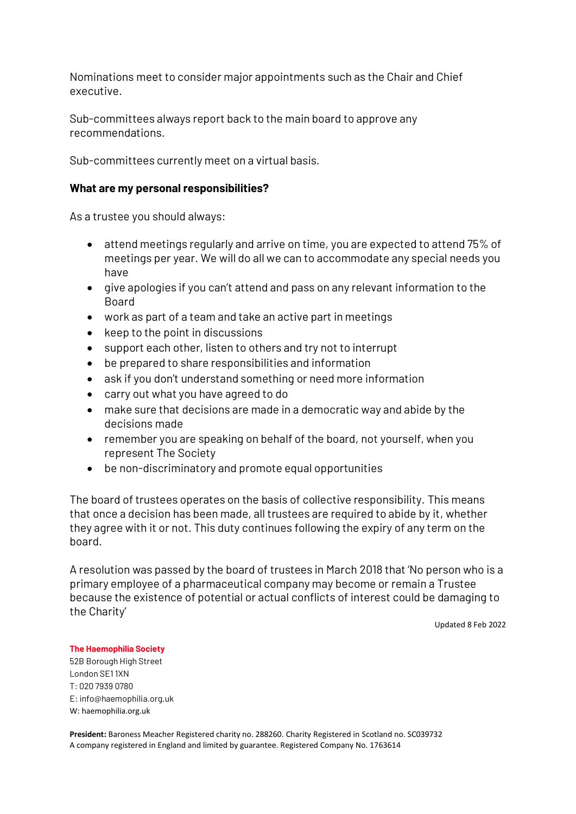Nominations meet to consider major appointments such as the Chair and Chief executive.

Sub-committees always report back to the main board to approve any recommendations.

Sub-committees currently meet on a virtual basis.

## **What are my personal responsibilities?**

As a trustee you should always:

- attend meetings regularly and arrive on time, you are expected to attend 75% of meetings per year. We will do all we can to accommodate any special needs you have
- give apologies if you can't attend and pass on any relevant information to the Board
- work as part of a team and take an active part in meetings
- keep to the point in discussions
- support each other, listen to others and try not to interrupt
- be prepared to share responsibilities and information
- ask if you don't understand something or need more information
- carry out what you have agreed to do
- make sure that decisions are made in a democratic way and abide by the decisions made
- remember you are speaking on behalf of the board, not yourself, when you represent The Society
- be non-discriminatory and promote equal opportunities

The board of trustees operates on the basis of collective responsibility. This means that once a decision has been made, all trustees are required to abide by it, whether they agree with it or not. This duty continues following the expiry of any term on the board.

A resolution was passed by the board of trustees in March 2018 that 'No person who is a primary employee of a pharmaceutical company may become or remain a Trustee because the existence of potential or actual conflicts of interest could be damaging to the Charity'

Updated 8 Feb 2022

#### **The Haemophilia Society**

52B Borough High Street London SE1 1XN T: 020 7939 0780 E: info@haemophilia.org.uk W: haemophilia.org.uk